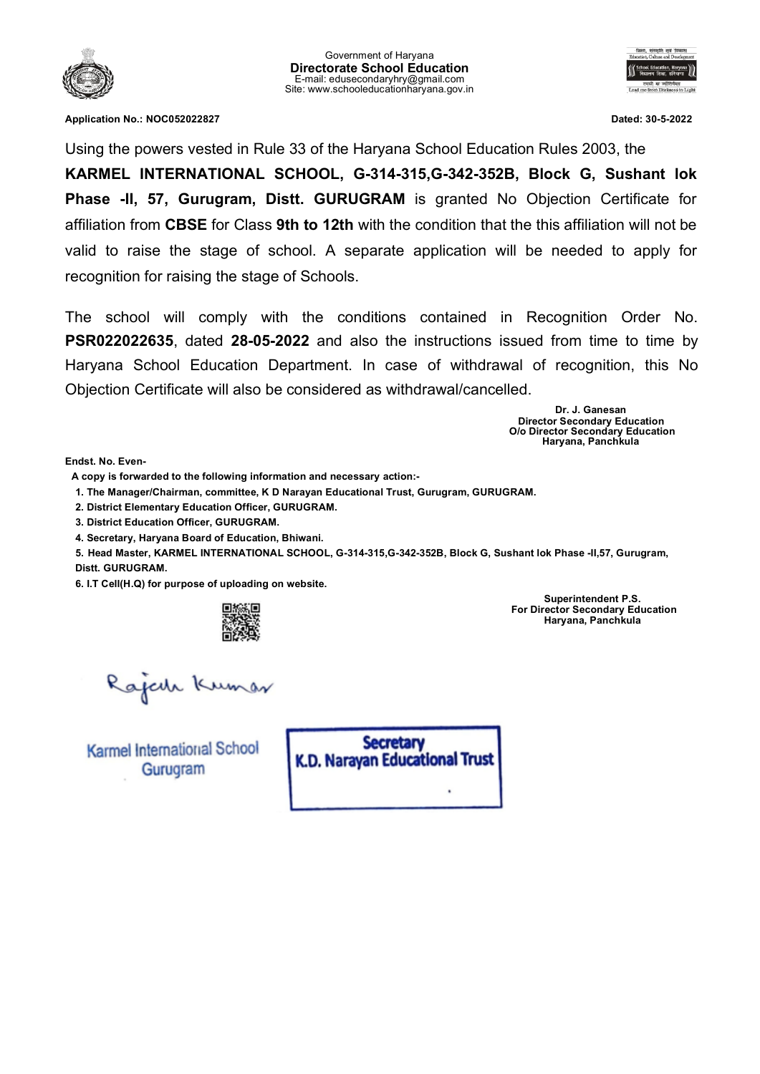



**Application No.: NOC052022827 Dated: 30-5-2022**

Using the powers vested in Rule 33 of the Haryana School Education Rules 2003, the

**KARMEL INTERNATIONAL SCHOOL, G-314-315,G-342-352B, Block G, Sushant lok Phase -II, 57, Gurugram, Distt. GURUGRAM** is granted No Objection Certificate for affiliation from **CBSE** for Class **9th to 12th** with the condition that the this affiliation will not be valid to raise the stage of school. A separate application will be needed to apply for recognition for raising the stage of Schools.

The school will comply with the conditions contained in Recognition Order No. **PSR022022635**, dated **28-05-2022** and also the instructions issued from time to time by Haryana School Education Department. In case of withdrawal of recognition, this No Objection Certificate will also be considered as withdrawal/cancelled.

> **Dr. J. Ganesan Director Secondary Education O/o Director Secondary Education Haryana, Panchkula**

**Endst. No. Even-**

**A copy is forwarded to the following information and necessary action:-**

**1. The Manager/Chairman, committee, K D Narayan Educational Trust, Gurugram, GURUGRAM.**

**2. District Elementary Education Officer, GURUGRAM.**

**3. District Education Officer, GURUGRAM.**

**4. Secretary, Haryana Board of Education, Bhiwani.**

**5. Head Master, KARMEL INTERNATIONAL SCHOOL, G-314-315,G-342-352B, Block G, Sushant lok Phase -II,57, Gurugram, Distt. GURUGRAM.**

**6. I.T Cell(H.Q) for purpose of uploading on website.**



**Superintendent P.S. For Director Secondary Education Haryana, Panchkula**

Rajah Kumar

**Karmel International School** Gurugram

**Secretary** K.D. Narayan Educational Trust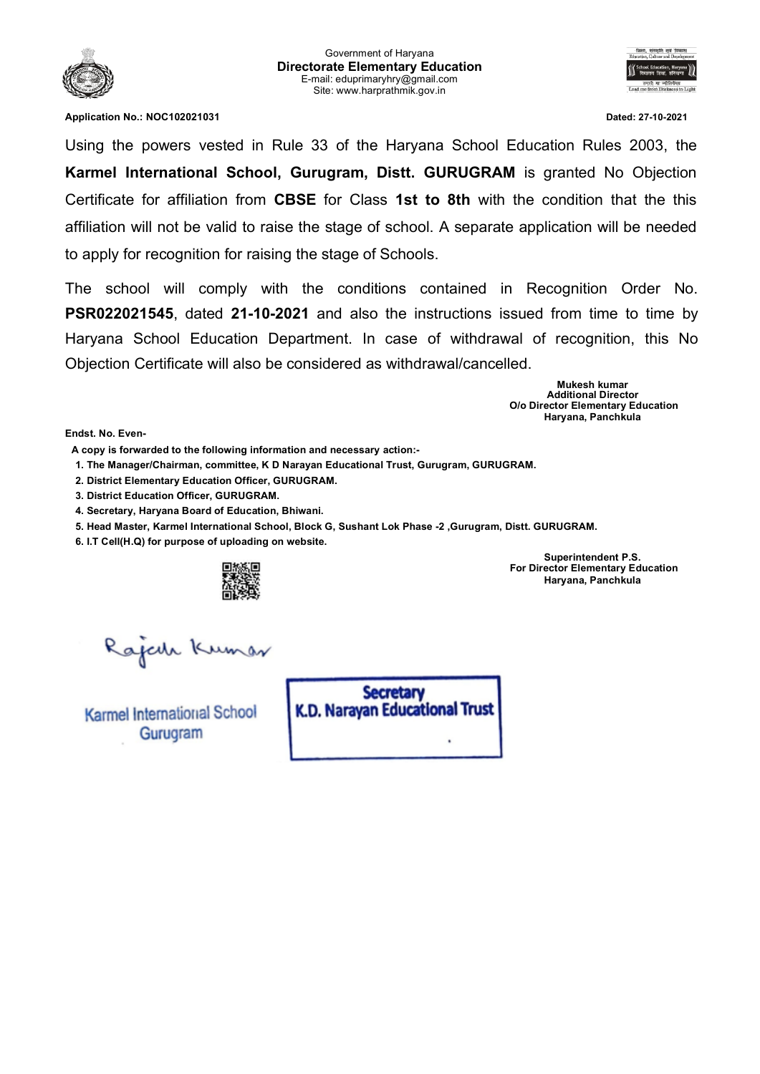



**Application No.: NOC102021031 Dated: 27-10-2021**

Using the powers vested in Rule 33 of the Haryana School Education Rules 2003, the **Karmel International School, Gurugram, Distt. GURUGRAM** is granted No Objection Certificate for affiliation from **CBSE** for Class **1st to 8th** with the condition that the this affiliation will not be valid to raise the stage of school. A separate application will be needed to apply for recognition for raising the stage of Schools.

The school will comply with the conditions contained in Recognition Order No. **PSR022021545**, dated **21-10-2021** and also the instructions issued from time to time by Haryana School Education Department. In case of withdrawal of recognition, this No Objection Certificate will also be considered as withdrawal/cancelled.

> **Mukesh kumar Additional Director O/o Director Elementary Education Haryana, Panchkula**

**Endst. No. Even-**

**A copy is forwarded to the following information and necessary action:-**

**1. The Manager/Chairman, committee, K D Narayan Educational Trust, Gurugram, GURUGRAM.**

**2. District Elementary Education Officer, GURUGRAM.**

**3. District Education Officer, GURUGRAM.**

**4. Secretary, Haryana Board of Education, Bhiwani.**

**5. Head Master, Karmel International School, Block G, Sushant Lok Phase -2 ,Gurugram, Distt. GURUGRAM.**

**6. I.T Cell(H.Q) for purpose of uploading on website.**



**For Director Elementary Education Haryana, Panchkula**

**Superintendent P.S.**

Rajede Kumar

Karmel International School Gurugram

**Secretary** K.D. Narayan Educational Trust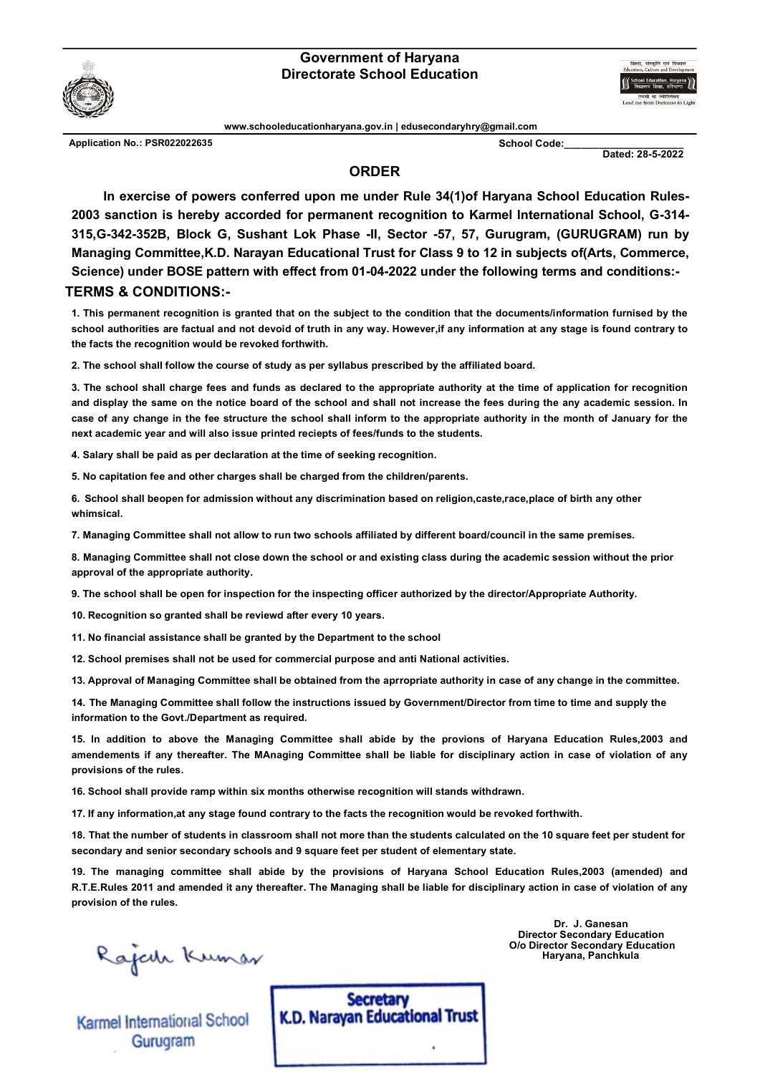## **Government of Haryana Directorate School Education**



**www.schooleducationharyana.gov.in | edusecondaryhry@gmail.com**

Application No.: PSR022022635 **School Code:** Letter School Code:

**Dated: 28-5-2022**

## **ORDER**

**In exercise of powers conferred upon me under Rule 34(1)of Haryana School Education Rules-2003 sanction is hereby accorded for permanent recognition to Karmel International School, G-314- 315,G-342-352B, Block G, Sushant Lok Phase -II, Sector -57, 57, Gurugram, (GURUGRAM) run by Managing Committee,K.D. Narayan Educational Trust for Class 9 to 12 in subjects of(Arts, Commerce, Science) under BOSE pattern with effect from 01-04-2022 under the following terms and conditions:- TERMS & CONDITIONS:-**

**1. This permanent recognition is granted that on the subject to the condition that the documents/information furnised by the school authorities are factual and not devoid of truth in any way. However,if any information at any stage is found contrary to the facts the recognition would be revoked forthwith.**

**2. The school shall follow the course of study as per syllabus prescribed by the affiliated board.**

**3. The school shall charge fees and funds as declared to the appropriate authority at the time of application for recognition and display the same on the notice board of the school and shall not increase the fees during the any academic session. In case of any change in the fee structure the school shall inform to the appropriate authority in the month of January for the next academic year and will also issue printed reciepts of fees/funds to the students.**

**4. Salary shall be paid as per declaration at the time of seeking recognition.**

**5. No capitation fee and other charges shall be charged from the children/parents.**

**6. School shall beopen for admission without any discrimination based on religion,caste,race,place of birth any other whimsical.**

**7. Managing Committee shall not allow to run two schools affiliated by different board/council in the same premises.**

**8. Managing Committee shall not close down the school or and existing class during the academic session without the prior approval of the appropriate authority.**

**9. The school shall be open for inspection for the inspecting officer authorized by the director/Appropriate Authority.**

**10. Recognition so granted shall be reviewd after every 10 years.**

**11. No financial assistance shall be granted by the Department to the school**

**12. School premises shall not be used for commercial purpose and anti National activities.**

**13. Approval of Managing Committee shall be obtained from the aprropriate authority in case of any change in the committee.**

**14. The Managing Committee shall follow the instructions issued by Government/Director from time to time and supply the information to the Govt./Department as required.**

**15. In addition to above the Managing Committee shall abide by the provions of Haryana Education Rules,2003 and amendements if any thereafter. The MAnaging Committee shall be liable for disciplinary action in case of violation of any provisions of the rules.**

**16. School shall provide ramp within six months otherwise recognition will stands withdrawn.**

**17. If any information,at any stage found contrary to the facts the recognition would be revoked forthwith.**

**18. That the number of students in classroom shall not more than the students calculated on the 10 square feet per student for secondary and senior secondary schools and 9 square feet per student of elementary state.**

**19. The managing committee shall abide by the provisions of Haryana School Education Rules,2003 (amended) and R.T.E.Rules 2011 and amended it any thereafter. The Managing shall be liable for disciplinary action in case of violation of any provision of the rules.**

Rajah Kumar

Karmel International School Gurugram

**Dr. J. Ganesan Director Secondary Education O/o Director Secondary Education Haryana, Panchkula**